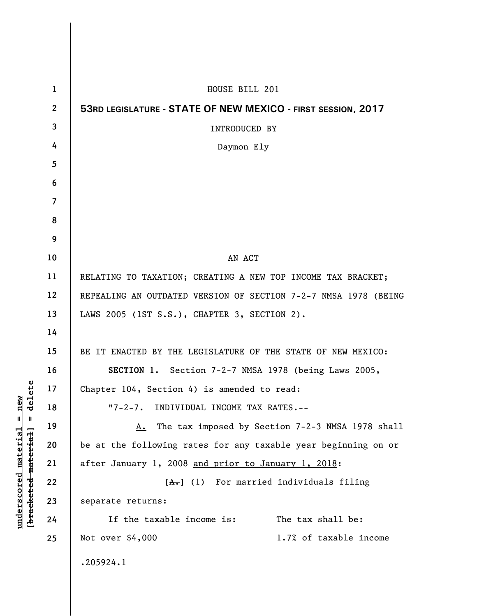| $\mathbf{1}$   | HOUSE BILL 201                                                  |  |  |  |  |  |  |  |  |
|----------------|-----------------------------------------------------------------|--|--|--|--|--|--|--|--|
| $\mathbf{2}$   | 53RD LEGISLATURE - STATE OF NEW MEXICO - FIRST SESSION, 2017    |  |  |  |  |  |  |  |  |
| 3              | <b>INTRODUCED BY</b>                                            |  |  |  |  |  |  |  |  |
| 4              | Daymon Ely                                                      |  |  |  |  |  |  |  |  |
| 5              |                                                                 |  |  |  |  |  |  |  |  |
| 6              |                                                                 |  |  |  |  |  |  |  |  |
| $\overline{7}$ |                                                                 |  |  |  |  |  |  |  |  |
| 8              |                                                                 |  |  |  |  |  |  |  |  |
| 9              |                                                                 |  |  |  |  |  |  |  |  |
| 10             | AN ACT                                                          |  |  |  |  |  |  |  |  |
| 11             | RELATING TO TAXATION; CREATING A NEW TOP INCOME TAX BRACKET;    |  |  |  |  |  |  |  |  |
| 12             | REPEALING AN OUTDATED VERSION OF SECTION 7-2-7 NMSA 1978 (BEING |  |  |  |  |  |  |  |  |
| 13             | LAWS 2005 (1ST S.S.), CHAPTER 3, SECTION 2).                    |  |  |  |  |  |  |  |  |
| 14             |                                                                 |  |  |  |  |  |  |  |  |
| 15             | BE IT ENACTED BY THE LEGISLATURE OF THE STATE OF NEW MEXICO:    |  |  |  |  |  |  |  |  |
| 16             | SECTION 1. Section 7-2-7 NMSA 1978 (being Laws 2005,            |  |  |  |  |  |  |  |  |
| 17             | Chapter 104, Section 4) is amended to read:                     |  |  |  |  |  |  |  |  |
| 18             | "7-2-7. INDIVIDUAL INCOME TAX RATES.--                          |  |  |  |  |  |  |  |  |
| 19             | The tax imposed by Section 7-2-3 NMSA 1978 shall<br>А.          |  |  |  |  |  |  |  |  |
| 20             | be at the following rates for any taxable year beginning on or  |  |  |  |  |  |  |  |  |
| 21             | after January 1, 2008 and prior to January 1, 2018:             |  |  |  |  |  |  |  |  |
| 22             | $[A1]$ (1) For married individuals filing                       |  |  |  |  |  |  |  |  |
| 23             | separate returns:                                               |  |  |  |  |  |  |  |  |
| 24             | The tax shall be:<br>If the taxable income is:                  |  |  |  |  |  |  |  |  |
| 25             | Not over $$4,000$<br>1.7% of taxable income                     |  |  |  |  |  |  |  |  |
|                | .205924.1                                                       |  |  |  |  |  |  |  |  |

**underscored material = new [bracketed material] = delete**

 $[**bracket eted metert et**] = **del et e**$  $underscored material = new$ 

 $\overline{\phantom{a}}$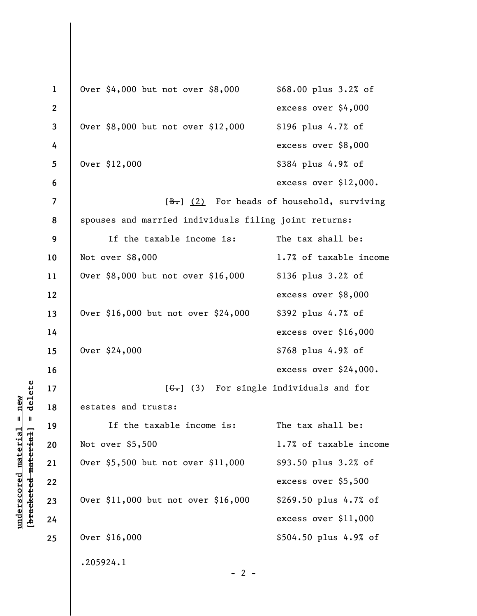```
1 
2 
3 
 4 
5 
 6 
7 
8 
9 
10 
11 
12 
13 
14 
15 
16 
17 
18 
19 
20 
21 
22 
23 
24 
25 
     Over $4,000 but not over $8,000 $68.00 plus 3.2% of
                                         excess over $4,000
     Over $8,000 but not over $12,000 $196 plus 4.7% of 
                                         excess over $8,000
     Over $12,000 $384 plus 4.9% of
                                         excess over $12,000.
                     [\frac{B-}{C}] (2) For heads of household, surviving
      spouses and married individuals filing joint returns:
           If the taxable income is: The tax shall be:
     Not over $8,000 1.7% of taxable income
     Over $8,000 but not over $16,000 $136 plus 3.2% of 
                                         excess over $8,000
     Over $16,000 but not over $24,000 $392 plus 4.7% of 
                                         excess over $16,000
     Over $24,000 $768 plus 4.9% of
                                         excess over $24,000.
                     [G<sub>1</sub>] (3) For single individuals and for
      estates and trusts:
           If the taxable income is: The tax shall be:
     Not over $5,500 1.7% of taxable income
     Over $5,500 but not over $11,000 $93.50 plus 3.2% of 
                                         excess over $5,500
     Over $11,000 but not over $16,000 $269.50 plus 4.7% of 
                                         excess over $11,000
     Over $16,000 $504.50 plus 4.9% of
      .205924.1
                                 - 2 -
```
 $\frac{1}{2}$  intereted material = delete **[bracketed material] = delete**  $underscored material = new$ **underscored material = new**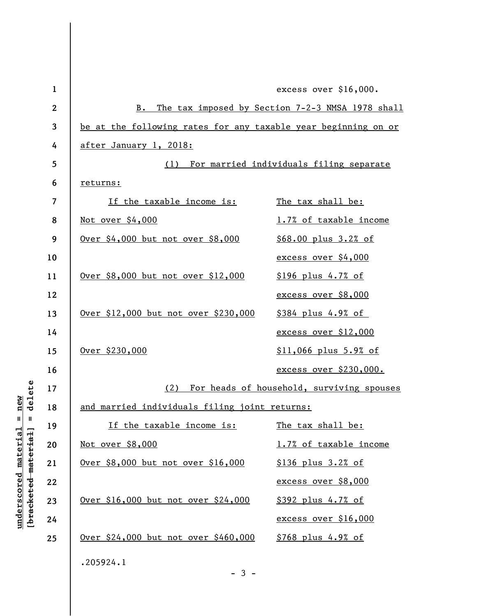| $\mathbf{1}$ | excess over \$16,000.                                             |                               |  |  |  |  |  |  |  |
|--------------|-------------------------------------------------------------------|-------------------------------|--|--|--|--|--|--|--|
| $\mathbf{2}$ | The tax imposed by Section 7-2-3 NMSA 1978 shall<br>$B_{\bullet}$ |                               |  |  |  |  |  |  |  |
| 3            | be at the following rates for any taxable year beginning on or    |                               |  |  |  |  |  |  |  |
| 4            | after January 1, 2018:                                            |                               |  |  |  |  |  |  |  |
| 5            | For married individuals filing separate<br>(1)                    |                               |  |  |  |  |  |  |  |
| 6            | returns:                                                          |                               |  |  |  |  |  |  |  |
| 7            | <u>If the taxable income is:</u><br>The tax shall be:             |                               |  |  |  |  |  |  |  |
| 8            | <u>Not over \$4,000</u>                                           | 1.7% of taxable income        |  |  |  |  |  |  |  |
| 9            | Over \$4,000 but not over \$8,000                                 | \$68.00 plus 3.2% of          |  |  |  |  |  |  |  |
| 10           |                                                                   | excess over \$4,000           |  |  |  |  |  |  |  |
| 11           | Over \$8,000 but not over \$12,000                                | <u>\$196 plus 4.7% of</u>     |  |  |  |  |  |  |  |
| 12           |                                                                   | excess over \$8,000           |  |  |  |  |  |  |  |
| 13           | Over \$12,000 but not over \$230,000                              | \$384 plus 4.9% of            |  |  |  |  |  |  |  |
| 14           |                                                                   | excess over \$12,000          |  |  |  |  |  |  |  |
| 15           | Over \$230,000                                                    | $$11,066$ plus $5.9%$ of      |  |  |  |  |  |  |  |
| 16           |                                                                   | <u>excess over \$230,000.</u> |  |  |  |  |  |  |  |
| 17           | For heads of household, surviving spouses<br>(2)                  |                               |  |  |  |  |  |  |  |
| 18           | and married individuals filing joint returns:                     |                               |  |  |  |  |  |  |  |
| 19           | If the taxable income is:                                         | The tax shall be:             |  |  |  |  |  |  |  |
| 20           | <u>Not over \$8,000</u>                                           | 1.7% of taxable income        |  |  |  |  |  |  |  |
| 21           | <u>Over \$8,000 but not over \$16,000</u>                         | <u>\$136 plus 3.2% of</u>     |  |  |  |  |  |  |  |
| 22           |                                                                   | excess over \$8,000           |  |  |  |  |  |  |  |
| 23           | Over \$16,000 but not over \$24,000                               | <u>\$392 plus 4.7% of</u>     |  |  |  |  |  |  |  |
| 24           |                                                                   | excess over \$16,000          |  |  |  |  |  |  |  |
| 25           | Over \$24,000 but not over \$460,000                              | <u>\$768 plus 4.9% of</u>     |  |  |  |  |  |  |  |
|              | .205924.1                                                         |                               |  |  |  |  |  |  |  |
|              | $-3-$                                                             |                               |  |  |  |  |  |  |  |

**underscored material = new [bracketed material] = delete**

 $[**bracket eted metert et**] = **del et e**$  $underscored material = new$ 

 $\mathsf I$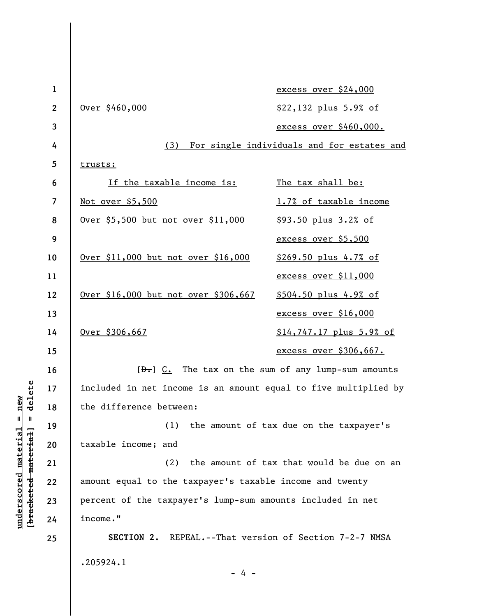| $\mathbf 1$              |                                                                  | excess over \$24,000     |  |  |  |  |  |  |
|--------------------------|------------------------------------------------------------------|--------------------------|--|--|--|--|--|--|
| $\mathbf{2}$             | Over \$460,000                                                   | \$22,132 plus 5.9% of    |  |  |  |  |  |  |
| 3                        |                                                                  | excess over \$460,000.   |  |  |  |  |  |  |
| 4                        | For single individuals and for estates and<br>(3)                |                          |  |  |  |  |  |  |
| 5                        | trusts:                                                          |                          |  |  |  |  |  |  |
| 6                        | <u>If the taxable income is:</u>                                 | The tax shall be:        |  |  |  |  |  |  |
| $\overline{\mathcal{L}}$ | <u>Not over \$5,500</u>                                          | 1.7% of taxable income   |  |  |  |  |  |  |
| 8                        | Over \$5,500 but not over \$11,000                               | \$93.50 plus 3.2% of     |  |  |  |  |  |  |
| 9                        |                                                                  | excess over \$5,500      |  |  |  |  |  |  |
| 10                       | Over \$11,000 but not over \$16,000                              | \$269.50 plus 4.7% of    |  |  |  |  |  |  |
| 11                       |                                                                  | excess over \$11,000     |  |  |  |  |  |  |
| 12                       | Over \$16,000 but not over \$306,667                             | \$504.50 plus 4.9% of    |  |  |  |  |  |  |
| 13                       |                                                                  | excess over \$16,000     |  |  |  |  |  |  |
| 14                       | Over \$306,667                                                   | \$14,747.17 plus 5.9% of |  |  |  |  |  |  |
| 15                       |                                                                  | excess over \$306,667.   |  |  |  |  |  |  |
| 16                       | $[\frac{b}{c}]$ $C$ . The tax on the sum of any lump-sum amounts |                          |  |  |  |  |  |  |
| 17                       | included in net income is an amount equal to five multiplied by  |                          |  |  |  |  |  |  |
| 18                       | the difference between:                                          |                          |  |  |  |  |  |  |
| 19                       | (1) the amount of tax due on the taxpayer's                      |                          |  |  |  |  |  |  |
| 20                       | taxable income; and                                              |                          |  |  |  |  |  |  |
| 21                       | the amount of tax that would be due on an<br>(2)                 |                          |  |  |  |  |  |  |
| 22                       | amount equal to the taxpayer's taxable income and twenty         |                          |  |  |  |  |  |  |
| 23                       | percent of the taxpayer's lump-sum amounts included in net       |                          |  |  |  |  |  |  |
| 24                       | income."                                                         |                          |  |  |  |  |  |  |
| 25                       | SECTION 2. REPEAL.--That version of Section 7-2-7 NMSA           |                          |  |  |  |  |  |  |
|                          | .205924.1                                                        |                          |  |  |  |  |  |  |
|                          | $-4 -$                                                           |                          |  |  |  |  |  |  |
|                          |                                                                  |                          |  |  |  |  |  |  |

**underscored material = new [bracketed material] = delete**

 $[bracketeed-materiat] = delete$  $underscored material = new$ 

 $\overline{\phantom{a}}$